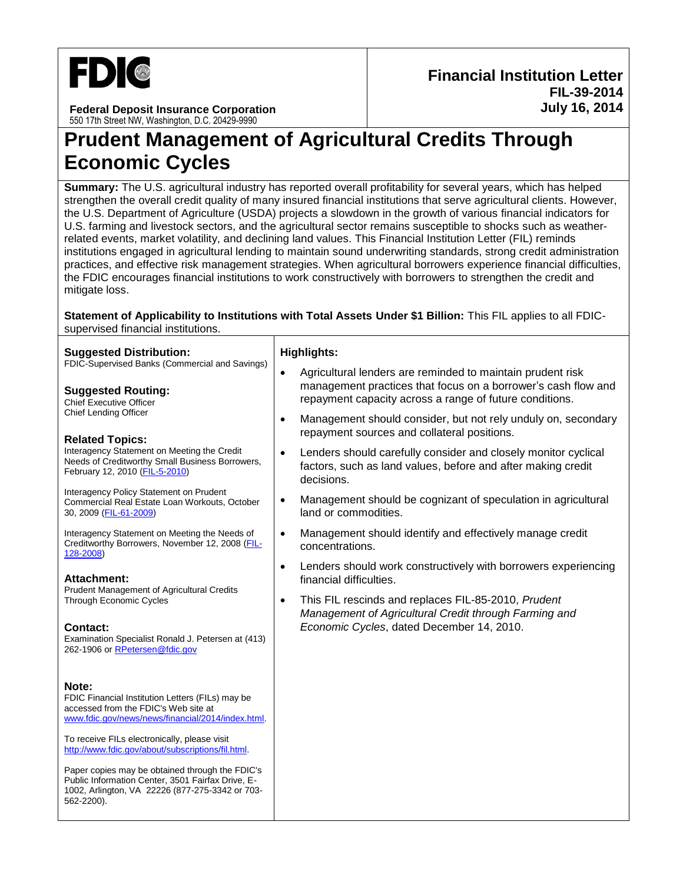

**Federal Deposit Insurance Corporation** 550 17th Street NW, Washington, D.C. 20429-9990

# **Prudent Management of Agricultural Credits Through Economic Cycles**

**Summary:** The U.S. agricultural industry has reported overall profitability for several years, which has helped strengthen the overall credit quality of many insured financial institutions that serve agricultural clients. However, the U.S. Department of Agriculture (USDA) projects a slowdown in the growth of various financial indicators for U.S. farming and livestock sectors, and the agricultural sector remains susceptible to shocks such as weatherrelated events, market volatility, and declining land values. This Financial Institution Letter (FIL) reminds institutions engaged in agricultural lending to maintain sound underwriting standards, strong credit administration practices, and effective risk management strategies. When agricultural borrowers experience financial difficulties, the FDIC encourages financial institutions to work constructively with borrowers to strengthen the credit and mitigate loss.

#### **Statement of Applicability to Institutions with Total Assets Under \$1 Billion:** This FIL applies to all FDICsupervised financial institutions.

| <b>Suggested Distribution:</b>                                                                                                                                        | <b>Highlights:</b>                                                                                                                                                                                  |
|-----------------------------------------------------------------------------------------------------------------------------------------------------------------------|-----------------------------------------------------------------------------------------------------------------------------------------------------------------------------------------------------|
| FDIC-Supervised Banks (Commercial and Savings)<br><b>Suggested Routing:</b><br><b>Chief Executive Officer</b>                                                         | Agricultural lenders are reminded to maintain prudent risk<br>$\bullet$<br>management practices that focus on a borrower's cash flow and<br>repayment capacity across a range of future conditions. |
| <b>Chief Lending Officer</b><br><b>Related Topics:</b>                                                                                                                | Management should consider, but not rely unduly on, secondary<br>$\bullet$<br>repayment sources and collateral positions.                                                                           |
| Interagency Statement on Meeting the Credit<br>Needs of Creditworthy Small Business Borrowers,<br>February 12, 2010 (FIL-5-2010)                                      | Lenders should carefully consider and closely monitor cyclical<br>$\bullet$<br>factors, such as land values, before and after making credit<br>decisions.                                           |
| Interagency Policy Statement on Prudent<br>Commercial Real Estate Loan Workouts, October<br>30, 2009 (FIL-61-2009)                                                    | Management should be cognizant of speculation in agricultural<br>$\bullet$<br>land or commodities.                                                                                                  |
| Interagency Statement on Meeting the Needs of<br>Creditworthy Borrowers, November 12, 2008 (FIL-<br>128-2008)                                                         | Management should identify and effectively manage credit<br>$\bullet$<br>concentrations.                                                                                                            |
| <b>Attachment:</b><br>Prudent Management of Agricultural Credits                                                                                                      | Lenders should work constructively with borrowers experiencing<br>$\bullet$<br>financial difficulties.                                                                                              |
| <b>Through Economic Cycles</b>                                                                                                                                        | This FIL rescinds and replaces FIL-85-2010, Prudent<br>$\bullet$<br>Management of Agricultural Credit through Farming and                                                                           |
| Contact:<br>Examination Specialist Ronald J. Petersen at (413)<br>262-1906 or RPetersen@fdic.gov                                                                      | Economic Cycles, dated December 14, 2010.                                                                                                                                                           |
| Note:<br>FDIC Financial Institution Letters (FILs) may be<br>accessed from the FDIC's Web site at<br>www.fdic.gov/news/news/financial/2014/index.html.                |                                                                                                                                                                                                     |
| To receive FILs electronically, please visit<br>http://www.fdic.gov/about/subscriptions/fil.html.                                                                     |                                                                                                                                                                                                     |
| Paper copies may be obtained through the FDIC's<br>Public Information Center, 3501 Fairfax Drive, E-<br>1002, Arlington, VA 22226 (877-275-3342 or 703-<br>562-2200). |                                                                                                                                                                                                     |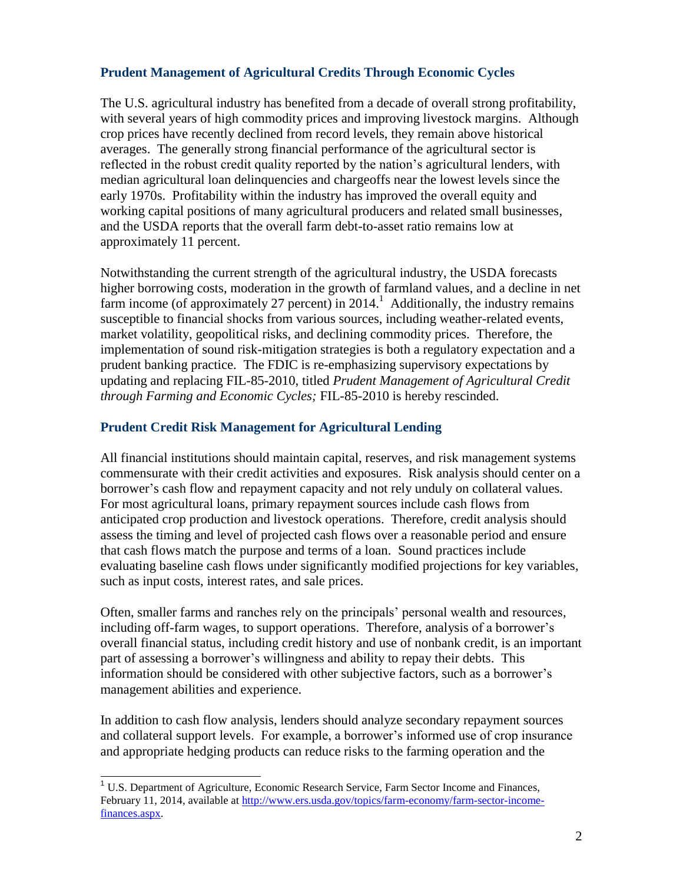### **Prudent Management of Agricultural Credits Through Economic Cycles**

The U.S. agricultural industry has benefited from a decade of overall strong profitability, with several years of high commodity prices and improving livestock margins. Although crop prices have recently declined from record levels, they remain above historical averages. The generally strong financial performance of the agricultural sector is reflected in the robust credit quality reported by the nation's agricultural lenders, with median agricultural loan delinquencies and chargeoffs near the lowest levels since the early 1970s. Profitability within the industry has improved the overall equity and working capital positions of many agricultural producers and related small businesses, and the USDA reports that the overall farm debt-to-asset ratio remains low at approximately 11 percent.

Notwithstanding the current strength of the agricultural industry, the USDA forecasts higher borrowing costs, moderation in the growth of farmland values, and a decline in net farm income (of approximately 27 percent) in 2014.<sup>1</sup> Additionally, the industry remains susceptible to financial shocks from various sources, including weather-related events, market volatility, geopolitical risks, and declining commodity prices. Therefore, the implementation of sound risk-mitigation strategies is both a regulatory expectation and a prudent banking practice. The FDIC is re-emphasizing supervisory expectations by updating and replacing FIL-85-2010, titled *Prudent Management of Agricultural Credit through Farming and Economic Cycles;* FIL-85-2010 is hereby rescinded.

#### **Prudent Credit Risk Management for Agricultural Lending**

All financial institutions should maintain capital, reserves, and risk management systems commensurate with their credit activities and exposures. Risk analysis should center on a borrower's cash flow and repayment capacity and not rely unduly on collateral values. For most agricultural loans, primary repayment sources include cash flows from anticipated crop production and livestock operations. Therefore, credit analysis should assess the timing and level of projected cash flows over a reasonable period and ensure that cash flows match the purpose and terms of a loan. Sound practices include evaluating baseline cash flows under significantly modified projections for key variables, such as input costs, interest rates, and sale prices.

Often, smaller farms and ranches rely on the principals' personal wealth and resources, including off-farm wages, to support operations. Therefore, analysis of a borrower's overall financial status, including credit history and use of nonbank credit, is an important part of assessing a borrower's willingness and ability to repay their debts. This information should be considered with other subjective factors, such as a borrower's management abilities and experience.

In addition to cash flow analysis, lenders should analyze secondary repayment sources and collateral support levels. For example, a borrower's informed use of crop insurance and appropriate hedging products can reduce risks to the farming operation and the

j

<sup>&</sup>lt;sup>1</sup> U.S. Department of Agriculture, Economic Research Service, Farm Sector Income and Finances, February 11, 2014, available at [http://www.ers.usda.gov/topics/farm-economy/farm-sector-income](http://www.ers.usda.gov/topics/farm-economy/farm-sector-income-finances.aspx)[finances.aspx.](http://www.ers.usda.gov/topics/farm-economy/farm-sector-income-finances.aspx)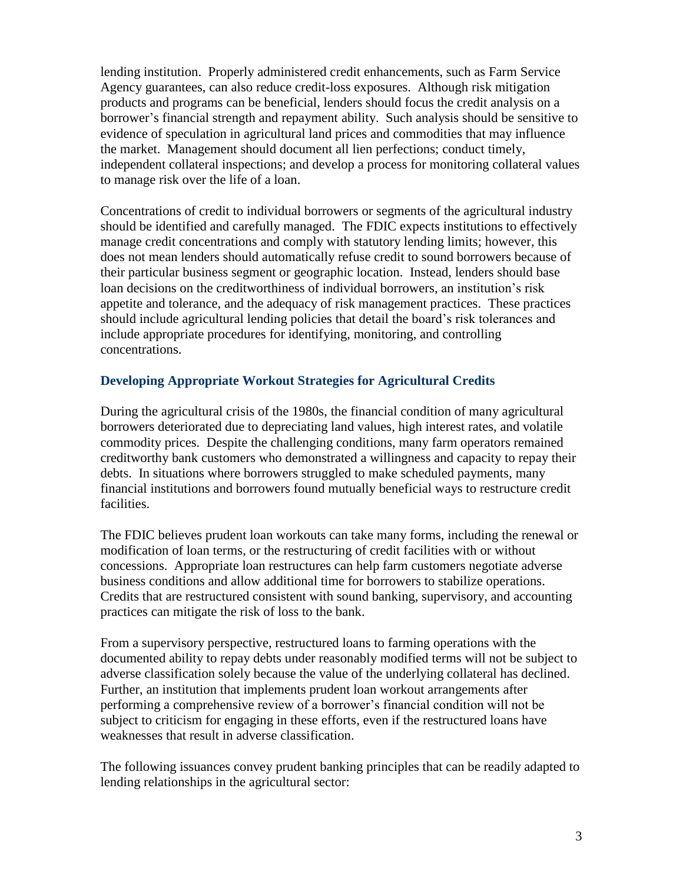lending institution. Properly administered credit enhancements, such as Farm Service Agency guarantees, can also reduce credit-loss exposures. Although risk mitigation products and programs can be beneficial, lenders should focus the credit analysis on a borrower's financial strength and repayment ability. Such analysis should be sensitive to evidence of speculation in agricultural land prices and commodities that may influence the market. Management should document all lien perfections; conduct timely, independent collateral inspections; and develop a process for monitoring collateral values to manage risk over the life of a loan.

Concentrations of credit to individual borrowers or segments of the agricultural industry should be identified and carefully managed. The FDIC expects institutions to effectively manage credit concentrations and comply with statutory lending limits; however, this does not mean lenders should automatically refuse credit to sound borrowers because of their particular business segment or geographic location. Instead, lenders should base loan decisions on the creditworthiness of individual borrowers, an institution's risk appetite and tolerance, and the adequacy of risk management practices. These practices should include agricultural lending policies that detail the board's risk tolerances and include appropriate procedures for identifying, monitoring, and controlling concentrations.

## **Developing Appropriate Workout Strategies for Agricultural Credits**

During the agricultural crisis of the 1980s, the financial condition of many agricultural borrowers deteriorated due to depreciating land values, high interest rates, and volatile commodity prices. Despite the challenging conditions, many farm operators remained creditworthy bank customers who demonstrated a willingness and capacity to repay their debts. In situations where borrowers struggled to make scheduled payments, many financial institutions and borrowers found mutually beneficial ways to restructure credit facilities.

The FDIC believes prudent loan workouts can take many forms, including the renewal or modification of loan terms, or the restructuring of credit facilities with or without concessions. Appropriate loan restructures can help farm customers negotiate adverse business conditions and allow additional time for borrowers to stabilize operations. Credits that are restructured consistent with sound banking, supervisory, and accounting practices can mitigate the risk of loss to the bank.

From a supervisory perspective, restructured loans to farming operations with the documented ability to repay debts under reasonably modified terms will not be subject to adverse classification solely because the value of the underlying collateral has declined. Further, an institution that implements prudent loan workout arrangements after performing a comprehensive review of a borrower's financial condition will not be subject to criticism for engaging in these efforts, even if the restructured loans have weaknesses that result in adverse classification.

The following issuances convey prudent banking principles that can be readily adapted to lending relationships in the agricultural sector: